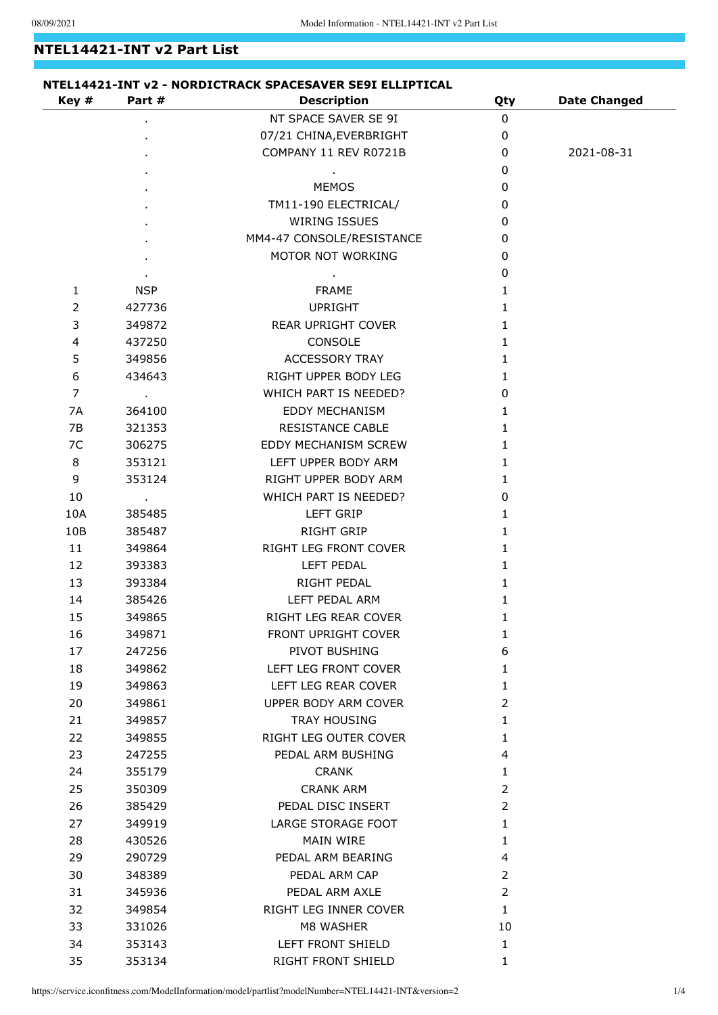## **NTEL14421-INT v2 Part List**

| Key #          | Part #                  | <b>Description</b>         | Qty            | <b>Date Changed</b> |
|----------------|-------------------------|----------------------------|----------------|---------------------|
|                |                         | NT SPACE SAVER SE 9I       | $\mathbf 0$    |                     |
|                |                         | 07/21 CHINA, EVERBRIGHT    | $\mathbf 0$    |                     |
|                |                         | COMPANY 11 REV R0721B      | 0              | 2021-08-31          |
|                |                         |                            | 0              |                     |
|                |                         | <b>MEMOS</b>               | 0              |                     |
|                |                         | TM11-190 ELECTRICAL/       | 0              |                     |
|                |                         | <b>WIRING ISSUES</b>       | 0              |                     |
|                |                         | MM4-47 CONSOLE/RESISTANCE  | 0              |                     |
|                |                         | MOTOR NOT WORKING          | 0              |                     |
|                |                         |                            | 0              |                     |
| $\mathbf{1}$   | <b>NSP</b>              | FRAME                      | 1              |                     |
| $\overline{2}$ | 427736                  | <b>UPRIGHT</b>             | 1              |                     |
| 3              | 349872                  | REAR UPRIGHT COVER         | 1              |                     |
| $\overline{4}$ | 437250                  | CONSOLE                    | 1              |                     |
| 5              | 349856                  | <b>ACCESSORY TRAY</b>      | 1              |                     |
| 6              | 434643                  | RIGHT UPPER BODY LEG       | 1              |                     |
| $\overline{7}$ | $\sim 100$              | WHICH PART IS NEEDED?      | 0              |                     |
| 7A             | 364100                  | <b>EDDY MECHANISM</b>      | 1              |                     |
| 7B             | 321353                  | <b>RESISTANCE CABLE</b>    | 1              |                     |
| 7C             | 306275                  | EDDY MECHANISM SCREW       | 1              |                     |
| 8              | 353121                  | LEFT UPPER BODY ARM        | 1              |                     |
| 9              | 353124                  | RIGHT UPPER BODY ARM       | 1              |                     |
| 10             | $\sim 100$ km s $^{-1}$ | WHICH PART IS NEEDED?      | 0              |                     |
| 10A            | 385485                  | <b>LEFT GRIP</b>           | 1              |                     |
| 10B            | 385487                  | RIGHT GRIP                 | 1              |                     |
| 11             | 349864                  | RIGHT LEG FRONT COVER      | 1              |                     |
| 12             | 393383                  | <b>LEFT PEDAL</b>          | 1              |                     |
| 13             | 393384                  | RIGHT PEDAL                | 1              |                     |
| 14             | 385426                  | LEFT PEDAL ARM             | 1              |                     |
| 15             | 349865                  | RIGHT LEG REAR COVER       | 1              |                     |
| 16             | 349871                  | <b>FRONT UPRIGHT COVER</b> | 1              |                     |
| 17             | 247256                  | PIVOT BUSHING              | 6              |                     |
| 18             | 349862                  | LEFT LEG FRONT COVER       | 1              |                     |
| 19             | 349863                  | LEFT LEG REAR COVER        | 1              |                     |
| 20             | 349861                  | UPPER BODY ARM COVER       | $\overline{2}$ |                     |
| 21             | 349857                  | <b>TRAY HOUSING</b>        | 1              |                     |
| 22             | 349855                  | RIGHT LEG OUTER COVER      | 1              |                     |
| 23             | 247255                  | PEDAL ARM BUSHING          | 4              |                     |
| 24             | 355179                  | <b>CRANK</b>               | 1              |                     |
| 25             | 350309                  | <b>CRANK ARM</b>           | $\overline{2}$ |                     |
| 26             | 385429                  | PEDAL DISC INSERT          | 2              |                     |
| 27             | 349919                  | LARGE STORAGE FOOT         | 1              |                     |
| 28             | 430526                  | <b>MAIN WIRE</b>           | 1              |                     |
| 29             | 290729                  | PEDAL ARM BEARING          | 4              |                     |
| 30             | 348389                  | PEDAL ARM CAP              | 2              |                     |
| 31             | 345936                  | PEDAL ARM AXLE             | $\overline{2}$ |                     |
| 32             | 349854                  | RIGHT LEG INNER COVER      | 1              |                     |
| 33             | 331026                  | M8 WASHER                  | 10             |                     |
| 34             | 353143                  | LEFT FRONT SHIELD          | 1              |                     |
| 35             | 353134                  | RIGHT FRONT SHIELD         | 1              |                     |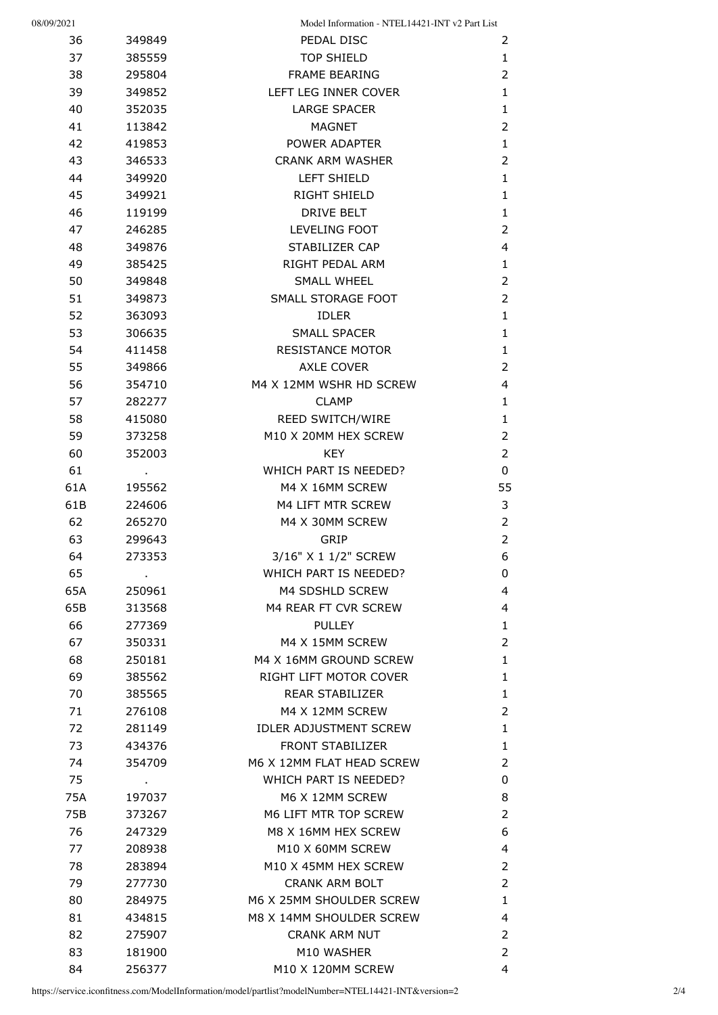| 08/09/2021 |                          | Model Information - NTEL14421-INT v2 Part List           |                         |
|------------|--------------------------|----------------------------------------------------------|-------------------------|
| 36         | 349849                   | PEDAL DISC                                               | 2                       |
| 37         | 385559                   | <b>TOP SHIELD</b>                                        | $\mathbf{1}$            |
| 38         | 295804                   | <b>FRAME BEARING</b>                                     | $\overline{2}$          |
| 39         | 349852                   | LEFT LEG INNER COVER                                     | $\mathbf{1}$            |
| 40         | 352035                   | <b>LARGE SPACER</b>                                      | $\mathbf{1}$            |
| 41         | 113842                   | <b>MAGNET</b>                                            | $\overline{2}$          |
| 42         | 419853                   | POWER ADAPTER                                            | $\mathbf{1}$            |
| 43         | 346533                   | <b>CRANK ARM WASHER</b>                                  | 2                       |
| 44         | 349920                   | LEFT SHIELD                                              | $\mathbf{1}$            |
| 45         | 349921                   | RIGHT SHIELD                                             | $\mathbf{1}$            |
| 46         | 119199                   | <b>DRIVE BELT</b>                                        | $\mathbf{1}$            |
| 47         | 246285                   | LEVELING FOOT                                            | 2                       |
| 48         | 349876                   | STABILIZER CAP                                           | $\overline{4}$          |
| 49         | 385425                   | RIGHT PEDAL ARM                                          | $\mathbf{1}$            |
| 50         | 349848                   | SMALL WHEEL                                              | $\overline{2}$          |
| 51         | 349873                   | SMALL STORAGE FOOT                                       | $\overline{2}$          |
| 52         | 363093                   | <b>IDLER</b>                                             | $\mathbf{1}$            |
| 53         | 306635                   | SMALL SPACER                                             | $\mathbf{1}$            |
| 54         | 411458                   | <b>RESISTANCE MOTOR</b>                                  | $\mathbf{1}$            |
| 55         | 349866                   | <b>AXLE COVER</b>                                        | $\overline{2}$          |
| 56         | 354710                   | M4 X 12MM WSHR HD SCREW                                  | $\overline{4}$          |
| 57         | 282277                   | <b>CLAMP</b>                                             | $\mathbf{1}$            |
| 58         | 415080                   | REED SWITCH/WIRE                                         | $\mathbf{1}$            |
| 59         | 373258                   | M10 X 20MM HEX SCREW                                     | $\overline{2}$          |
| 60         | 352003                   | <b>KEY</b>                                               | $\overline{2}$          |
| 61         |                          | WHICH PART IS NEEDED?                                    | 0                       |
| 61A        | 195562                   | M4 X 16MM SCREW                                          | 55                      |
| 61B        | 224606                   | M4 LIFT MTR SCREW                                        | 3                       |
| 62         | 265270                   | M4 X 30MM SCREW                                          | $\overline{2}$          |
| 63         | 299643                   | <b>GRIP</b>                                              | $\overline{2}$          |
| 64         | 273353                   | 3/16" X 1 1/2" SCREW                                     | 6                       |
| 65         |                          | WHICH PART IS NEEDED?                                    | 0                       |
| 65A        | $\blacksquare$<br>250961 | M4 SDSHLD SCREW                                          | 4                       |
| 65B        | 313568                   | M4 REAR FT CVR SCREW                                     | 4                       |
| 66         | 277369                   | <b>PULLEY</b>                                            | $\mathbf{1}$            |
| 67         | 350331                   | M4 X 15MM SCREW                                          | $\overline{2}$          |
| 68         | 250181                   | M4 X 16MM GROUND SCREW                                   | $\mathbf{1}$            |
| 69         | 385562                   | RIGHT LIFT MOTOR COVER                                   | $\mathbf{1}$            |
| 70         | 385565                   | REAR STABILIZER                                          | $\mathbf{1}$            |
| 71         | 276108                   | M4 X 12MM SCREW                                          | $\overline{2}$          |
| 72         |                          |                                                          | $\mathbf{1}$            |
|            | 281149                   | <b>IDLER ADJUSTMENT SCREW</b><br><b>FRONT STABILIZER</b> | $\mathbf{1}$            |
| 73<br>74   | 434376                   | M6 X 12MM FLAT HEAD SCREW                                | $\overline{2}$          |
|            | 354709                   | WHICH PART IS NEEDED?                                    |                         |
| 75         |                          |                                                          | 0                       |
| 75A        | 197037                   | M6 X 12MM SCREW                                          | 8                       |
| 75B        | 373267                   | M6 LIFT MTR TOP SCREW                                    | $\overline{2}$          |
| 76         | 247329                   | M8 X 16MM HEX SCREW                                      | 6                       |
| 77         | 208938                   | M10 X 60MM SCREW                                         | $\overline{\mathbf{4}}$ |
| 78         | 283894                   | M10 X 45MM HEX SCREW                                     | $\overline{2}$          |
| 79         | 277730                   | <b>CRANK ARM BOLT</b>                                    | $\overline{2}$          |
| 80         | 284975                   | M6 X 25MM SHOULDER SCREW                                 | $\mathbf{1}$            |
| 81         | 434815                   | M8 X 14MM SHOULDER SCREW                                 | 4                       |
| 82         | 275907                   | <b>CRANK ARM NUT</b>                                     | $\overline{2}$          |
| 83         | 181900                   | M10 WASHER                                               | 2                       |
| 84         | 256377                   | M10 X 120MM SCREW                                        | 4                       |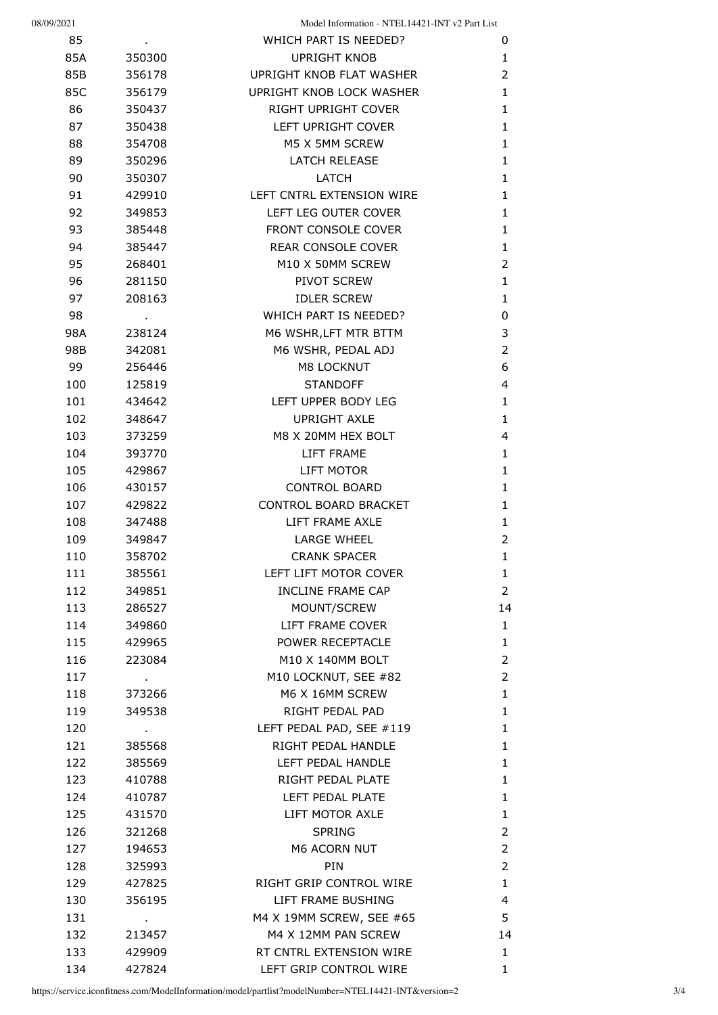| 08/09/2021 |                | Model Information - NTEL14421-INT v2 Part List |                                |
|------------|----------------|------------------------------------------------|--------------------------------|
| 85         |                | WHICH PART IS NEEDED?                          | 0                              |
| 85A        | 350300         | <b>UPRIGHT KNOB</b>                            | $\mathbf{1}$                   |
| 85B        | 356178         | UPRIGHT KNOB FLAT WASHER                       | $\overline{2}$                 |
| 85C        | 356179         | UPRIGHT KNOB LOCK WASHER                       | $\mathbf{1}$                   |
| 86         | 350437         | RIGHT UPRIGHT COVER                            | $\mathbf{1}$                   |
| 87         | 350438         | LEFT UPRIGHT COVER                             | $\mathbf{1}$                   |
| 88         | 354708         | M5 X 5MM SCREW                                 | $\mathbf{1}$                   |
| 89         | 350296         | <b>LATCH RELEASE</b>                           | $\mathbf{1}$                   |
| 90         | 350307         | LATCH                                          | $\mathbf{1}$                   |
| 91         | 429910         | LEFT CNTRL EXTENSION WIRE                      | $\mathbf{1}$                   |
| 92         | 349853         | LEFT LEG OUTER COVER                           | $\mathbf{1}$                   |
| 93         | 385448         | FRONT CONSOLE COVER                            | $\mathbf{1}$                   |
| 94         | 385447         | REAR CONSOLE COVER                             | $\mathbf{1}$                   |
| 95         | 268401         | M10 X 50MM SCREW                               | $\overline{2}$                 |
| 96         | 281150         | PIVOT SCREW                                    | $\mathbf{1}$                   |
| 97         | 208163         | <b>IDLER SCREW</b>                             | $\mathbf{1}$                   |
| 98         |                | WHICH PART IS NEEDED?                          | 0                              |
| 98A        | 238124         | M6 WSHR, LFT MTR BTTM                          | 3                              |
| 98B        | 342081         | M6 WSHR, PEDAL ADJ                             | $\overline{2}$                 |
| 99         | 256446         | M8 LOCKNUT                                     | 6                              |
| 100        | 125819         | <b>STANDOFF</b>                                | 4                              |
| 101        | 434642         | LEFT UPPER BODY LEG                            | $\mathbf{1}$                   |
| 102        | 348647         | <b>UPRIGHT AXLE</b>                            | $\mathbf{1}$                   |
| 103        | 373259         | M8 X 20MM HEX BOLT                             | 4                              |
| 104        | 393770         | LIFT FRAME                                     | $\mathbf{1}$                   |
| 105        | 429867         | LIFT MOTOR                                     | $\mathbf{1}$                   |
| 106        | 430157         | <b>CONTROL BOARD</b>                           | $\mathbf{1}$                   |
| 107        | 429822         | CONTROL BOARD BRACKET                          | $\mathbf{1}$                   |
| 108        | 347488         | LIFT FRAME AXLE                                | $\mathbf{1}$                   |
| 109        | 349847         | <b>LARGE WHEEL</b>                             | $\overline{2}$                 |
| 110        | 358702         | <b>CRANK SPACER</b>                            | 1                              |
| 111        | 385561         | LEFT LIFT MOTOR COVER                          |                                |
|            | 349851         | <b>INCLINE FRAME CAP</b>                       | $\mathbf{1}$<br>$\overline{2}$ |
| 112        | 286527         | MOUNT/SCREW                                    | 14                             |
| 113        |                |                                                |                                |
| 114        | 349860         | LIFT FRAME COVER                               | $\mathbf{1}$                   |
| 115        | 429965         | POWER RECEPTACLE                               | $\mathbf{1}$                   |
| 116        | 223084         | M10 X 140MM BOLT                               | $\overline{2}$                 |
| 117        | $\blacksquare$ | M10 LOCKNUT, SEE #82                           | $\overline{2}$                 |
| 118        | 373266         | M6 X 16MM SCREW                                | $\mathbf{1}$                   |
| 119        | 349538         | RIGHT PEDAL PAD                                | $\mathbf{1}$                   |
| 120        |                | LEFT PEDAL PAD, SEE #119                       | $\mathbf{1}$                   |
| 121        | 385568         | RIGHT PEDAL HANDLE                             | $\mathbf{1}$                   |
| 122        | 385569         | LEFT PEDAL HANDLE                              | $\mathbf{1}$                   |
| 123        | 410788         | RIGHT PEDAL PLATE                              | $\mathbf{1}$                   |
| 124        | 410787         | LEFT PEDAL PLATE                               | $\mathbf{1}$                   |
| 125        | 431570         | LIFT MOTOR AXLE                                | $\mathbf{1}$                   |
| 126        | 321268         | <b>SPRING</b>                                  | $\overline{2}$                 |
| 127        | 194653         | M6 ACORN NUT                                   | $\overline{2}$                 |
| 128        | 325993         | <b>PIN</b>                                     | $\overline{2}$                 |
| 129        | 427825         | RIGHT GRIP CONTROL WIRE                        | $\mathbf{1}$                   |
| 130        | 356195         | LIFT FRAME BUSHING                             | 4                              |
| 131        |                | M4 X 19MM SCREW, SEE #65                       | 5                              |
| 132        | 213457         | M4 X 12MM PAN SCREW                            | 14                             |
| 133        | 429909         | RT CNTRL EXTENSION WIRE                        | $\mathbf{1}$                   |
| 134        | 427824         | LEFT GRIP CONTROL WIRE                         | $\mathbf{1}$                   |